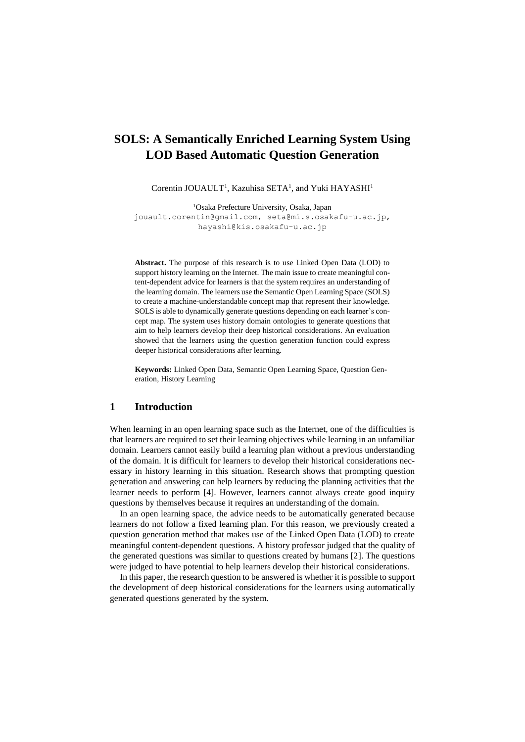# **SOLS: A Semantically Enriched Learning System Using LOD Based Automatic Question Generation**

Corentin JOUAULT<sup>1</sup>, Kazuhisa SETA<sup>1</sup>, and Yuki HAYASHI<sup>1</sup>

<sup>1</sup>Osaka Prefecture University, Osaka, Japan [jouault.corentin@gmail.com,](mailto:jouault.corentin@gmail.com) seta@mi.s.osakafu-u.ac.jp, hayashi@kis.osakafu-u.ac.jp

**Abstract.** The purpose of this research is to use Linked Open Data (LOD) to support history learning on the Internet. The main issue to create meaningful content-dependent advice for learners is that the system requires an understanding of the learning domain. The learners use the Semantic Open Learning Space (SOLS) to create a machine-understandable concept map that represent their knowledge. SOLS is able to dynamically generate questions depending on each learner's concept map. The system uses history domain ontologies to generate questions that aim to help learners develop their deep historical considerations. An evaluation showed that the learners using the question generation function could express deeper historical considerations after learning.

**Keywords:** Linked Open Data, Semantic Open Learning Space, Question Generation, History Learning

## **1 Introduction**

When learning in an open learning space such as the Internet, one of the difficulties is that learners are required to set their learning objectives while learning in an unfamiliar domain. Learners cannot easily build a learning plan without a previous understanding of the domain. It is difficult for learners to develop their historical considerations necessary in history learning in this situation. Research shows that prompting question generation and answering can help learners by reducing the planning activities that the learner needs to perform [4]. However, learners cannot always create good inquiry questions by themselves because it requires an understanding of the domain.

In an open learning space, the advice needs to be automatically generated because learners do not follow a fixed learning plan. For this reason, we previously created a question generation method that makes use of the Linked Open Data (LOD) to create meaningful content-dependent questions. A history professor judged that the quality of the generated questions was similar to questions created by humans [2]. The questions were judged to have potential to help learners develop their historical considerations.

In this paper, the research question to be answered is whether it is possible to support the development of deep historical considerations for the learners using automatically generated questions generated by the system.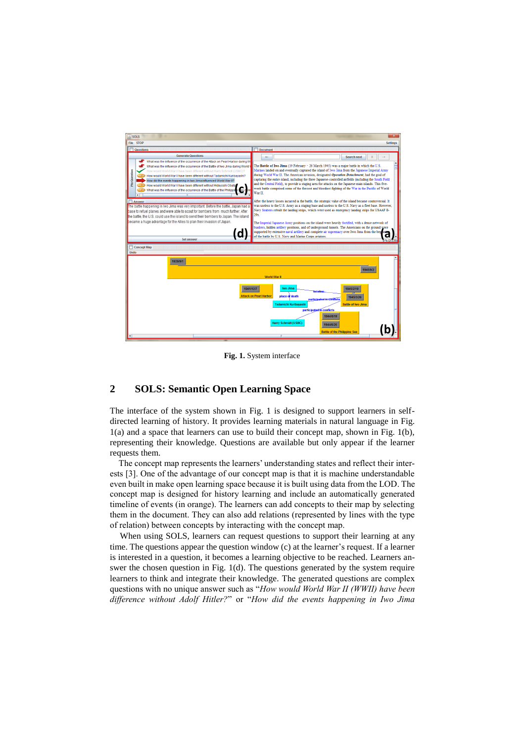

**Fig. 1.** System interface

### **2 SOLS: Semantic Open Learning Space**

The interface of the system shown in Fig. 1 is designed to support learners in selfdirected learning of history. It provides learning materials in natural language in Fig. 1(a) and a space that learners can use to build their concept map, shown in Fig. 1(b), representing their knowledge. Questions are available but only appear if the learner requests them.

The concept map represents the learners' understanding states and reflect their interests [3]. One of the advantage of our concept map is that it is machine understandable even built in make open learning space because it is built using data from the LOD. The concept map is designed for history learning and include an automatically generated timeline of events (in orange). The learners can add concepts to their map by selecting them in the document. They can also add relations (represented by lines with the type of relation) between concepts by interacting with the concept map.

When using SOLS, learners can request questions to support their learning at any time. The questions appear the question window (c) at the learner's request. If a learner is interested in a question, it becomes a learning objective to be reached. Learners answer the chosen question in Fig. 1(d). The questions generated by the system require learners to think and integrate their knowledge. The generated questions are complex questions with no unique answer such as "*How would World War II (WWII) have been difference without Adolf Hitler?*" or "*How did the events happening in Iwo Jima*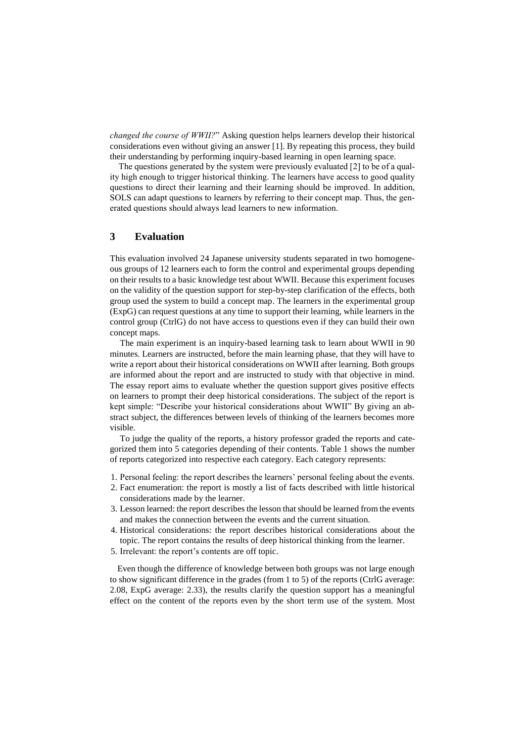*changed the course of WWII?*" Asking question helps learners develop their historical considerations even without giving an answer [1]. By repeating this process, they build their understanding by performing inquiry-based learning in open learning space.

The questions generated by the system were previously evaluated [2] to be of a quality high enough to trigger historical thinking. The learners have access to good quality questions to direct their learning and their learning should be improved. In addition, SOLS can adapt questions to learners by referring to their concept map. Thus, the generated questions should always lead learners to new information.

# **3 Evaluation**

This evaluation involved 24 Japanese university students separated in two homogeneous groups of 12 learners each to form the control and experimental groups depending on their results to a basic knowledge test about WWII. Because this experiment focuses on the validity of the question support for step-by-step clarification of the effects, both group used the system to build a concept map. The learners in the experimental group (ExpG) can request questions at any time to support their learning, while learners in the control group (CtrlG) do not have access to questions even if they can build their own concept maps.

The main experiment is an inquiry-based learning task to learn about WWII in 90 minutes. Learners are instructed, before the main learning phase, that they will have to write a report about their historical considerations on WWII after learning. Both groups are informed about the report and are instructed to study with that objective in mind. The essay report aims to evaluate whether the question support gives positive effects on learners to prompt their deep historical considerations. The subject of the report is kept simple: "Describe your historical considerations about WWII" By giving an abstract subject, the differences between levels of thinking of the learners becomes more visible.

To judge the quality of the reports, a history professor graded the reports and categorized them into 5 categories depending of their contents. Table 1 shows the number of reports categorized into respective each category. Each category represents:

- 1. Personal feeling: the report describes the learners' personal feeling about the events.
- 2. Fact enumeration: the report is mostly a list of facts described with little historical considerations made by the learner.
- 3. Lesson learned: the report describes the lesson that should be learned from the events and makes the connection between the events and the current situation.
- 4. Historical considerations: the report describes historical considerations about the topic. The report contains the results of deep historical thinking from the learner.
- 5. Irrelevant: the report's contents are off topic.

Even though the difference of knowledge between both groups was not large enough to show significant difference in the grades (from 1 to 5) of the reports (CtrlG average: 2.08, ExpG average: 2.33), the results clarify the question support has a meaningful effect on the content of the reports even by the short term use of the system. Most